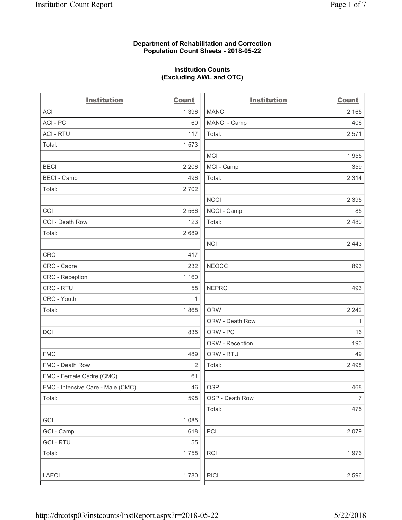### Department of Rehabilitation and Correction Population Count Sheets - 2018-05-22

## Institution Counts (Excluding AWL and OTC)

. .

| <b>Institution</b>                | <b>Count</b>   | <b>Institution</b> | <b>Count</b>   |
|-----------------------------------|----------------|--------------------|----------------|
| <b>ACI</b>                        | 1,396          | <b>MANCI</b>       | 2,165          |
| ACI-PC                            | 60             | MANCI - Camp       | 406            |
| <b>ACI - RTU</b>                  | 117            | Total:             | 2,571          |
| Total:                            | 1,573          |                    |                |
|                                   |                | <b>MCI</b>         | 1,955          |
| <b>BECI</b>                       | 2,206          | MCI - Camp         | 359            |
| <b>BECI - Camp</b>                | 496            | Total:             | 2,314          |
| Total:                            | 2,702          |                    |                |
|                                   |                | <b>NCCI</b>        | 2,395          |
| CCI                               | 2,566          | NCCI - Camp        | 85             |
| CCI - Death Row                   | 123            | Total:             | 2,480          |
| Total:                            | 2,689          |                    |                |
|                                   |                | <b>NCI</b>         | 2,443          |
| <b>CRC</b>                        | 417            |                    |                |
| CRC - Cadre                       | 232            | <b>NEOCC</b>       | 893            |
| CRC - Reception                   | 1,160          |                    |                |
| CRC - RTU                         | 58             | <b>NEPRC</b>       | 493            |
| CRC - Youth                       | $\mathbf{1}$   |                    |                |
| Total:                            | 1,868          | <b>ORW</b>         | 2,242          |
|                                   |                | ORW - Death Row    | 1              |
| DCI                               | 835            | ORW - PC           | 16             |
|                                   |                | ORW - Reception    | 190            |
| <b>FMC</b>                        | 489            | ORW - RTU          | 49             |
| FMC - Death Row                   | $\overline{2}$ | Total:             | 2,498          |
| FMC - Female Cadre (CMC)          | 61             |                    |                |
| FMC - Intensive Care - Male (CMC) | 46             | OSP                | 468            |
| Total:                            | 598            | OSP - Death Row    | $\overline{7}$ |
|                                   |                | Total:             | 475            |
| GCI                               | 1,085          |                    |                |
| GCI - Camp                        | 618            | PCI                | 2,079          |
| <b>GCI-RTU</b>                    | 55             |                    |                |
| Total:                            | 1,758          | RCI                | 1,976          |
|                                   |                |                    |                |
| LAECI                             | 1,780          | <b>RICI</b>        | 2,596          |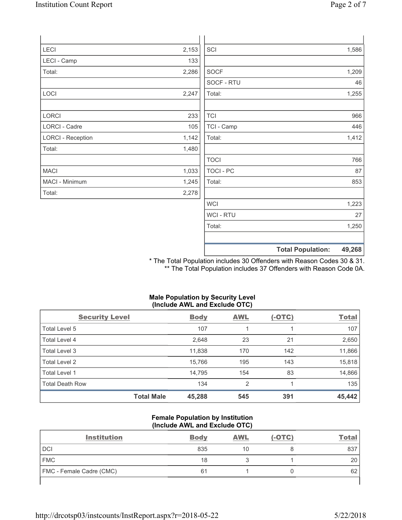| Page 2 of 7 |  |
|-------------|--|
|             |  |

| LECI                     | 2,153 | SCI              | 1,586                              |
|--------------------------|-------|------------------|------------------------------------|
| LECI - Camp              | 133   |                  |                                    |
| Total:                   | 2,286 | <b>SOCF</b>      | 1,209                              |
|                          |       | SOCF - RTU       | 46                                 |
| LOCI                     | 2,247 | Total:           | 1,255                              |
| LORCI                    | 233   | <b>TCI</b>       | 966                                |
| LORCI - Cadre            | 105   | TCI - Camp       | 446                                |
| <b>LORCI - Reception</b> | 1,142 | Total:           | 1,412                              |
| Total:                   | 1,480 |                  |                                    |
|                          |       | <b>TOCI</b>      | 766                                |
| <b>MACI</b>              | 1,033 | TOCI - PC        | 87                                 |
| MACI - Minimum           | 1,245 | Total:           | 853                                |
| Total:                   | 2,278 |                  |                                    |
|                          |       | <b>WCI</b>       | 1,223                              |
|                          |       | <b>WCI - RTU</b> | 27                                 |
|                          |       | Total:           | 1,250                              |
|                          |       |                  | 49,268<br><b>Total Population:</b> |

\* The Total Population includes 30 Offenders with Reason Codes 30 & 31. \*\* The Total Population includes 37 Offenders with Reason Code 0A.

### Male Population by Security Level (Include AWL and Exclude OTC)

| <b>Security Level</b>  |                   | <b>Body</b> | <b>AWL</b>     | $(-OTC)$ | <b>Total</b> |
|------------------------|-------------------|-------------|----------------|----------|--------------|
| Total Level 5          |                   | 107         |                |          | 107          |
| Total Level 4          |                   | 2,648       | 23             | 21       | 2,650        |
| Total Level 3          |                   | 11,838      | 170            | 142      | 11,866       |
| Total Level 2          |                   | 15,766      | 195            | 143      | 15,818       |
| Total Level 1          |                   | 14,795      | 154            | 83       | 14,866       |
| <b>Total Death Row</b> |                   | 134         | $\overline{2}$ |          | 135          |
|                        | <b>Total Male</b> | 45,288      | 545            | 391      | 45,442       |

### Female Population by Institution (Include AWL and Exclude OTC)

| <b>Institution</b>       | <b>Body</b> | <b>AWL</b> | (-OTC) | <u>Total</u> |
|--------------------------|-------------|------------|--------|--------------|
| <b>DCI</b>               | 835         | 10         |        | 837          |
| <b>FMC</b>               | 18          |            |        | 20           |
| FMC - Female Cadre (CMC) | 61          |            |        | 62           |
|                          |             |            |        |              |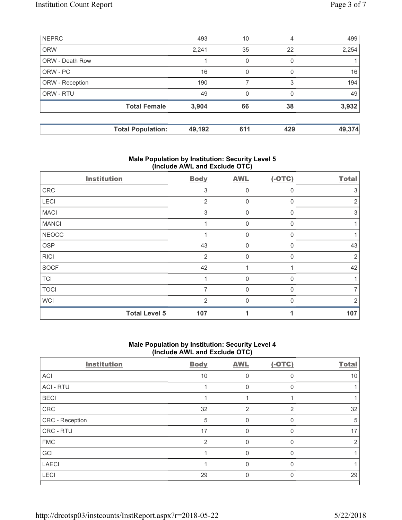| <b>NEPRC</b>    |                          | 493    | 10       | 4        | 499    |
|-----------------|--------------------------|--------|----------|----------|--------|
| <b>ORW</b>      |                          | 2,241  | 35       | 22       | 2,254  |
| ORW - Death Row |                          |        | $\Omega$ | $\Omega$ |        |
| ORW - PC        |                          | 16     | $\Omega$ | $\Omega$ | 16     |
| ORW - Reception |                          | 190    |          | 3        | 194    |
| ORW - RTU       |                          | 49     | $\Omega$ | $\Omega$ | 49     |
|                 | <b>Total Female</b>      | 3,904  | 66       | 38       | 3,932  |
|                 | <b>Total Population:</b> | 49,192 | 611      | 429      | 49,374 |

## Male Population by Institution: Security Level 5 (Include AWL and Exclude OTC)

| <b>Institution</b>   | <b>Body</b>    | <b>AWL</b> | $(-OTC)$ | <b>Total</b> |
|----------------------|----------------|------------|----------|--------------|
| ${\sf CRC}$          | 3              | 0          | $\Omega$ | 3            |
| LECI                 | $\overline{2}$ | 0          | 0        | 2            |
| <b>MACI</b>          | 3              | 0          | $\Omega$ | 3            |
| <b>MANCI</b>         | 1              | 0          | $\Omega$ |              |
| <b>NEOCC</b>         |                | 0          | $\Omega$ |              |
| OSP                  | 43             | 0          | $\Omega$ | 43           |
| <b>RICI</b>          | $\overline{2}$ | 0          | $\Omega$ | 2            |
| <b>SOCF</b>          | 42             |            |          | 42           |
| <b>TCI</b>           |                | 0          | $\Omega$ |              |
| <b>TOCI</b>          | 7              | 0          | $\Omega$ |              |
| <b>WCI</b>           | $\overline{2}$ | 0          | $\Omega$ | 2            |
| <b>Total Level 5</b> | 107            |            |          | 107          |

### Male Population by Institution: Security Level 4 (Include AWL and Exclude OTC)

| <b>Body</b>    | <b>AWL</b> | $(-OTC)$       | <b>Total</b> |
|----------------|------------|----------------|--------------|
| 10             | O          | $\Omega$       | 10           |
|                | 0          | $\Omega$       |              |
|                |            |                |              |
| 32             | 2          | $\overline{2}$ | 32           |
| 5              | 0          | $\Omega$       | 5            |
| 17             |            | ∩              | 17           |
| $\overline{2}$ | 0          | $\Omega$       | 2            |
|                | $\Omega$   | $\Omega$       |              |
|                | O          | $\Omega$       |              |
| 29             | 0          | $\Omega$       | 29           |
|                |            |                |              |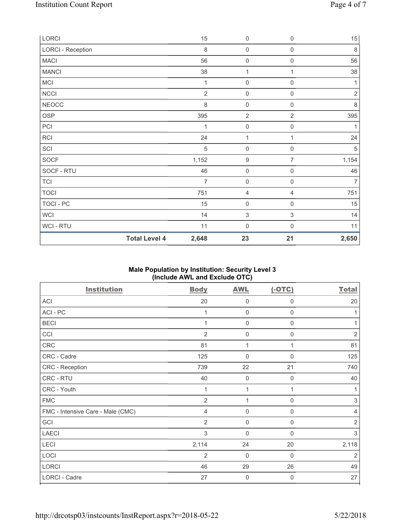| LORCI                    |                      | 15             | $\mathbf 0$         | $\boldsymbol{0}$    | $15\,$         |
|--------------------------|----------------------|----------------|---------------------|---------------------|----------------|
| <b>LORCI - Reception</b> |                      | $\,8\,$        | $\mathbf 0$         | $\boldsymbol{0}$    | $\,8\,$        |
| <b>MACI</b>              |                      | 56             | $\mathbf 0$         | $\boldsymbol{0}$    | 56             |
| <b>MANCI</b>             |                      | 38             | $\mathbf{1}$        | 1                   | 38             |
| MCI                      |                      | 1              | $\mathsf{O}\xspace$ | $\mathsf{O}\xspace$ | 1              |
| <b>NCCI</b>              |                      | $\overline{2}$ | $\mathbf 0$         | $\mathsf{O}\xspace$ | $\sqrt{2}$     |
| <b>NEOCC</b>             |                      | 8              | $\mathbf 0$         | $\mathsf{O}\xspace$ | 8              |
| <b>OSP</b>               |                      | 395            | $\overline{2}$      | $\overline{2}$      | 395            |
| PCI                      |                      | $\mathbf{1}$   | $\mathbf 0$         | $\mathsf{O}\xspace$ | 1              |
| RCI                      |                      | 24             | $\mathbf{1}$        | 1                   | 24             |
| SCI                      |                      | 5              | $\boldsymbol{0}$    | $\boldsymbol{0}$    | $\mathbf 5$    |
| <b>SOCF</b>              |                      | 1,152          | $\boldsymbol{9}$    | $\overline{7}$      | 1,154          |
| SOCF - RTU               |                      | 46             | $\mathbf 0$         | $\mathsf{O}\xspace$ | 46             |
| <b>TCI</b>               |                      | $\overline{7}$ | $\mathbf 0$         | $\mathsf{O}\xspace$ | $\overline{7}$ |
| <b>TOCI</b>              |                      | 751            | $\overline{4}$      | 4                   | 751            |
| TOCI - PC                |                      | 15             | $\mathbf 0$         | $\mathsf{O}\xspace$ | 15             |
| <b>WCI</b>               |                      | 14             | $\sqrt{3}$          | $\sqrt{3}$          | 14             |
| WCI - RTU                |                      | 11             | $\mathbf 0$         | $\boldsymbol{0}$    | 11             |
|                          | <b>Total Level 4</b> | 2,648          | 23                  | 21                  | 2,650          |

# Male Population by Institution: Security Level 3 (Include AWL and Exclude OTC)

| <b>Institution</b>                | <b>Body</b>    | <b>AWL</b>       | $(-OTC)$         | <b>Total</b>   |
|-----------------------------------|----------------|------------------|------------------|----------------|
| ACI                               | 20             | 0                | $\boldsymbol{0}$ | 20             |
| ACI-PC                            | 1              | $\mathbf 0$      | $\mathbf 0$      | 1              |
| <b>BECI</b>                       | 1              | $\mathbf 0$      | $\mathbf 0$      | 1              |
| CCI                               | $\overline{2}$ | $\mathbf 0$      | $\mathbf 0$      | $\overline{2}$ |
| CRC                               | 81             | 1                | 1                | 81             |
| CRC - Cadre                       | 125            | $\mathbf 0$      | 0                | 125            |
| CRC - Reception                   | 739            | 22               | 21               | 740            |
| CRC - RTU                         | 40             | $\mathbf 0$      | 0                | 40             |
| CRC - Youth                       | 1              | 1                | 1                | 1              |
| <b>FMC</b>                        | $\overline{2}$ | 1                | 0                | 3              |
| FMC - Intensive Care - Male (CMC) | 4              | $\mathbf 0$      | $\mathbf 0$      | 4              |
| GCI                               | $\overline{2}$ | $\mathbf 0$      | 0                | $\overline{2}$ |
| <b>LAECI</b>                      | 3              | $\overline{0}$   | 0                | $\,$ 3 $\,$    |
| LECI                              | 2,114          | 24               | 20               | 2,118          |
| LOCI                              | $\overline{2}$ | $\overline{0}$   | $\mathbf 0$      | $\overline{2}$ |
| LORCI                             | 46             | 29               | 26               | 49             |
| LORCI - Cadre                     | 27             | $\boldsymbol{0}$ | 0                | 27             |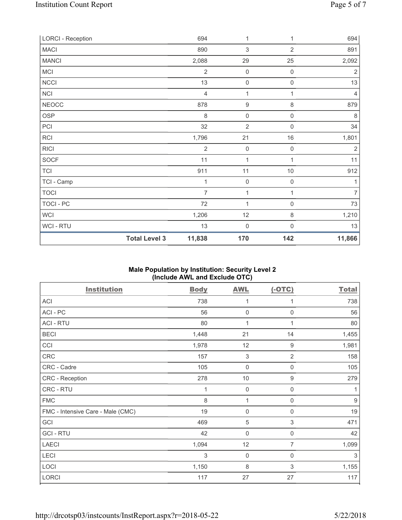| <b>LORCI - Reception</b> |                      | 694            | 1                   | 1                   | 694            |
|--------------------------|----------------------|----------------|---------------------|---------------------|----------------|
| <b>MACI</b>              |                      | 890            | 3                   | $\overline{2}$      | 891            |
| <b>MANCI</b>             |                      | 2,088          | 29                  | 25                  | 2,092          |
| <b>MCI</b>               |                      | $\overline{2}$ | $\mathsf{O}\xspace$ | $\boldsymbol{0}$    | $\sqrt{2}$     |
| NCCI                     |                      | 13             | $\boldsymbol{0}$    | $\mathsf{O}\xspace$ | 13             |
| NCI                      |                      | $\overline{4}$ | $\mathbf{1}$        | 1                   | $\overline{4}$ |
| NEOCC                    |                      | 878            | $\boldsymbol{9}$    | 8                   | 879            |
| <b>OSP</b>               |                      | 8              | $\mathsf{O}\xspace$ | $\mathsf 0$         | $\,8\,$        |
| PCI                      |                      | 32             | $\overline{2}$      | $\mathbf 0$         | 34             |
| RCI                      |                      | 1,796          | 21                  | $16$                | 1,801          |
| <b>RICI</b>              |                      | $\overline{2}$ | $\mathbf 0$         | 0                   | $\overline{2}$ |
| SOCF                     |                      | 11             | 1                   |                     | 11             |
| <b>TCI</b>               |                      | 911            | 11                  | $10$                | 912            |
| TCI - Camp               |                      | 1              | $\boldsymbol{0}$    | $\mathsf{O}\xspace$ | 1              |
| <b>TOCI</b>              |                      | $\overline{7}$ | 1                   | 1                   | $\overline{7}$ |
| TOCI - PC                |                      | 72             | $\mathbf{1}$        | $\mathsf{O}\xspace$ | 73             |
| <b>WCI</b>               |                      | 1,206          | 12                  | 8                   | 1,210          |
| WCI - RTU                |                      | 13             | $\boldsymbol{0}$    | 0                   | 13             |
|                          | <b>Total Level 3</b> | 11,838         | 170                 | 142                 | 11,866         |

## Male Population by Institution: Security Level 2 (Include AWL and Exclude OTC)

| <b>Institution</b>                | <b>Body</b> | <b>AWL</b>          | $(-OTC)$                  | <b>Total</b> |
|-----------------------------------|-------------|---------------------|---------------------------|--------------|
| ACI                               | 738         | 1                   | 1                         | 738          |
| ACI-PC                            | 56          | $\mathbf 0$         | $\mathbf 0$               | 56           |
| <b>ACI - RTU</b>                  | 80          | 1                   | 1                         | 80           |
| <b>BECI</b>                       | 1,448       | 21                  | 14                        | 1,455        |
| CCI                               | 1,978       | 12                  | $\boldsymbol{9}$          | 1,981        |
| CRC                               | 157         | $\mathfrak{S}$      | $\overline{2}$            | 158          |
| CRC - Cadre                       | 105         | $\mathbf 0$         | $\mathbf 0$               | 105          |
| CRC - Reception                   | 278         | 10                  | 9                         | 279          |
| CRC - RTU                         | 1           | $\mathbf 0$         | 0                         | 1            |
| <b>FMC</b>                        | 8           | 1                   | $\mathbf 0$               | $9$          |
| FMC - Intensive Care - Male (CMC) | 19          | $\mathsf{O}\xspace$ | $\mathbf 0$               | 19           |
| GCI                               | 469         | 5                   | $\ensuremath{\mathsf{3}}$ | 471          |
| <b>GCI-RTU</b>                    | 42          | $\mathbf 0$         | $\mathbf 0$               | 42           |
| <b>LAECI</b>                      | 1,094       | 12                  | 7                         | 1,099        |
| LECI                              | 3           | $\mathbf 0$         | $\mathbf 0$               | 3            |
| LOCI                              | 1,150       | 8                   | 3                         | 1,155        |
| LORCI                             | 117         | 27                  | 27                        | 117          |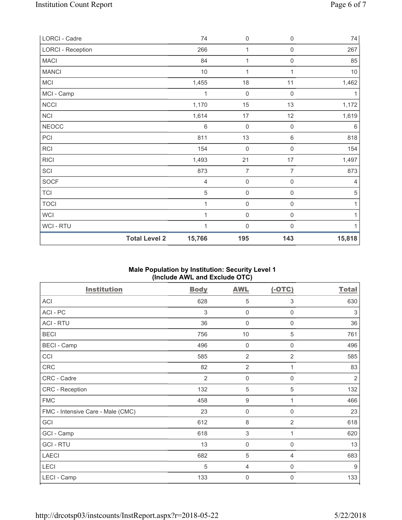| LORCI - Cadre            |                      | 74             | $\mathsf{O}\xspace$ | $\,0\,$             | $74\,$         |
|--------------------------|----------------------|----------------|---------------------|---------------------|----------------|
| <b>LORCI - Reception</b> |                      | 266            | 1                   | $\boldsymbol{0}$    | 267            |
| <b>MACI</b>              |                      | 84             | 1                   | $\mathsf{O}\xspace$ | 85             |
| <b>MANCI</b>             |                      | $10$           | $\mathbf{1}$        | 1                   | 10             |
| <b>MCI</b>               |                      | 1,455          | 18                  | 11                  | 1,462          |
| MCI - Camp               |                      | 1              | $\mathsf{O}\xspace$ | $\mathsf{O}\xspace$ | 1              |
| NCCI                     |                      | 1,170          | 15                  | 13                  | 1,172          |
| NCI                      |                      | 1,614          | $17\,$              | 12                  | 1,619          |
| <b>NEOCC</b>             |                      | 6              | $\mathsf{O}\xspace$ | $\boldsymbol{0}$    | $6\,$          |
| PCI                      |                      | 811            | 13                  | 6                   | 818            |
| <b>RCI</b>               |                      | 154            | $\mathbf 0$         | $\mathsf{O}\xspace$ | 154            |
| <b>RICI</b>              |                      | 1,493          | 21                  | 17                  | 1,497          |
| SCI                      |                      | 873            | $\overline{7}$      | 7                   | 873            |
| SOCF                     |                      | $\overline{4}$ | $\mathsf{O}\xspace$ | $\mathsf{O}\xspace$ | $\overline{4}$ |
| <b>TCI</b>               |                      | 5              | $\mathsf{O}\xspace$ | $\mathsf{O}\xspace$ | $\,$ 5 $\,$    |
| <b>TOCI</b>              |                      | $\mathbf{1}$   | $\mathsf{O}\xspace$ | $\mathsf{O}\xspace$ | 1              |
| WCI                      |                      | 1              | $\mathsf 0$         | $\mathsf{O}\xspace$ | $\mathbf{1}$   |
| WCI - RTU                |                      | 1              | $\mathsf{O}\xspace$ | $\boldsymbol{0}$    | 1              |
|                          | <b>Total Level 2</b> | 15,766         | 195                 | 143                 | 15,818         |

# Male Population by Institution: Security Level 1 (Include AWL and Exclude OTC)

| <b>Institution</b>                | <b>Body</b>    | <b>AWL</b>       | $(-OTC)$       | <b>Total</b>   |
|-----------------------------------|----------------|------------------|----------------|----------------|
| ACI                               | 628            | 5                | 3              | 630            |
| ACI-PC                            | 3              | $\mathbf 0$      | $\mathbf 0$    | 3              |
| <b>ACI - RTU</b>                  | 36             | $\mathbf 0$      | $\mathbf 0$    | 36             |
| <b>BECI</b>                       | 756            | $10$             | $\sqrt{5}$     | 761            |
| <b>BECI - Camp</b>                | 496            | $\mathbf 0$      | $\mathbf 0$    | 496            |
| CCI                               | 585            | $\overline{2}$   | $\overline{2}$ | 585            |
| CRC                               | 82             | $\overline{2}$   | 1              | 83             |
| CRC - Cadre                       | $\overline{2}$ | $\mathbf 0$      | $\mathbf 0$    | $\overline{2}$ |
| CRC - Reception                   | 132            | 5                | $\sqrt{5}$     | 132            |
| <b>FMC</b>                        | 458            | $\boldsymbol{9}$ | 1              | 466            |
| FMC - Intensive Care - Male (CMC) | 23             | $\mathbf 0$      | $\mathbf 0$    | 23             |
| GCI                               | 612            | 8                | 2              | 618            |
| GCI - Camp                        | 618            | $\sqrt{3}$       | 1              | 620            |
| <b>GCI-RTU</b>                    | 13             | $\mathbf 0$      | $\mathbf 0$    | 13             |
| <b>LAECI</b>                      | 682            | $\mathbf 5$      | $\overline{4}$ | 683            |
| LECI                              | 5              | $\overline{4}$   | $\mathbf 0$    | $9\,$          |
| LECI - Camp                       | 133            | $\mathbf 0$      | $\mathbf 0$    | 133            |